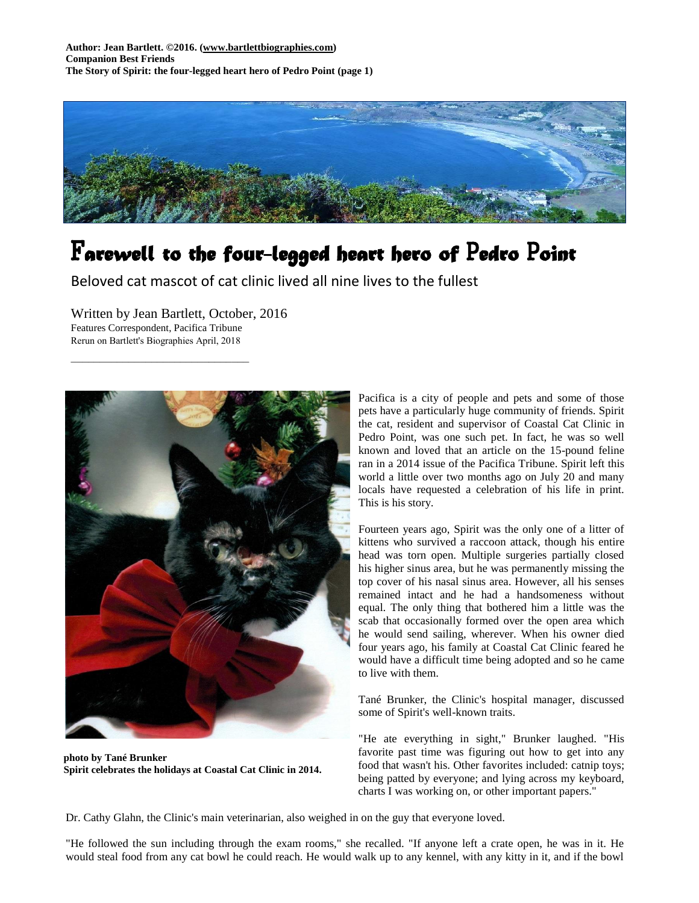

## F*arewell to the four-legged heart hero of* P*edro* P*oint*

Beloved cat mascot of cat clinic lived all nine lives to the fullest

Written by Jean Bartlett, October, 2016 Features Correspondent, Pacifica Tribune Rerun on Bartlett's Biographies April, 2018

 $\overline{\phantom{a}}$  , which is a set of the set of the set of the set of the set of the set of the set of the set of the set of the set of the set of the set of the set of the set of the set of the set of the set of the set of th



**photo by Tané Brunker Spirit celebrates the holidays at Coastal Cat Clinic in 2014.**

Pacifica is a city of people and pets and some of those pets have a particularly huge community of friends. Spirit the cat, resident and supervisor of Coastal Cat Clinic in Pedro Point, was one such pet. In fact, he was so well known and loved that an article on the 15-pound feline ran in a 2014 issue of the Pacifica Tribune. Spirit left this world a little over two months ago on July 20 and many locals have requested a celebration of his life in print. This is his story.

Fourteen years ago, Spirit was the only one of a litter of kittens who survived a raccoon attack, though his entire head was torn open. Multiple surgeries partially closed his higher sinus area, but he was permanently missing the top cover of his nasal sinus area. However, all his senses remained intact and he had a handsomeness without equal. The only thing that bothered him a little was the scab that occasionally formed over the open area which he would send sailing, wherever. When his owner died four years ago, his family at Coastal Cat Clinic feared he would have a difficult time being adopted and so he came to live with them.

Tané Brunker, the Clinic's hospital manager, discussed some of Spirit's well-known traits.

"He ate everything in sight," Brunker laughed. "His favorite past time was figuring out how to get into any food that wasn't his. Other favorites included: catnip toys; being patted by everyone; and lying across my keyboard, charts I was working on, or other important papers."

Dr. Cathy Glahn, the Clinic's main veterinarian, also weighed in on the guy that everyone loved.

"He followed the sun including through the exam rooms," she recalled. "If anyone left a crate open, he was in it. He would steal food from any cat bowl he could reach. He would walk up to any kennel, with any kitty in it, and if the bowl